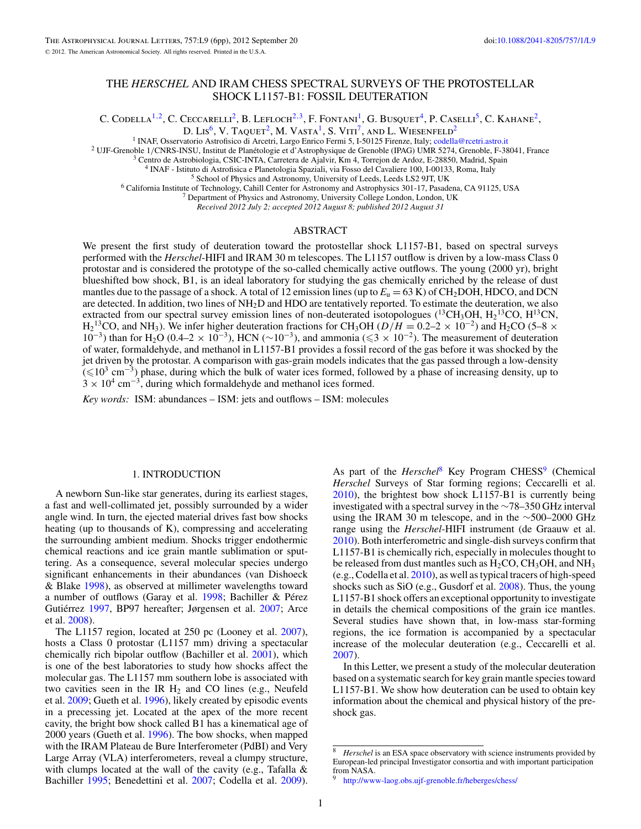# THE *HERSCHEL* AND IRAM CHESS SPECTRAL SURVEYS OF THE PROTOSTELLAR SHOCK L1157-B1: FOSSIL DEUTERATION

C. CODELLA<sup>1,2</sup>, C. CECCARELLI<sup>2</sup>, B. LEFLOCH<sup>2,3</sup>, F. FONTANI<sup>1</sup>, G. BUSQUET<sup>4</sup>, P. CASELLI<sup>5</sup>, C. KAHANE<sup>2</sup>,

D. LIS<sup>6</sup>, V. TAQUET<sup>2</sup>, M. VASTA<sup>1</sup>, S. VITI<sup>7</sup>, AND L. WIESENFELD<sup>2</sup><br><sup>1</sup> INAF, Osservatorio Astrofisico di Arcetri, Largo Enrico Fermi 5, 1-50125 Firenze, Italy; codella@rcetri.astro.it

<sup>2</sup> UJF-Grenoble 1/CNRS-INSU, Institut de Planétologie et d'Astrophysique de Grenoble (IPAG) UMR 5274, Grenoble, F-38041, France <sup>3</sup> Centro de Astrobiologia, CSIC-INTA, Carretera de Ajalvir, Km 4, Torrejon de Ardoz, E-288

*Received 2012 July 2; accepted 2012 August 8; published 2012 August 31*

## ABSTRACT

We present the first study of deuteration toward the protostellar shock L1157-B1, based on spectral surveys performed with the *Herschel*-HIFI and IRAM 30 m telescopes. The L1157 outflow is driven by a low-mass Class 0 protostar and is considered the prototype of the so-called chemically active outflows. The young (2000 yr), bright blueshifted bow shock, B1, is an ideal laboratory for studying the gas chemically enriched by the release of dust mantles due to the passage of a shock. A total of 12 emission lines (up to  $E_u = 63$  K) of CH<sub>2</sub>DOH, HDCO, and DCN are detected. In addition, two lines of NH2D and HDO are tentatively reported. To estimate the deuteration, we also extracted from our spectral survey emission lines of non-deuterated isotopologues ( $^{13}CH_3OH$ ,  $H_2^{13}CO$ ,  $H^{13}CN$ ,  $H_2$ <sup>13</sup>CO, and NH<sub>3</sub>). We infer higher deuteration fractions for CH<sub>3</sub>OH ( $D/H = 0.2-2 \times 10^{-2}$ ) and H<sub>2</sub>CO (5–8 × 10<sup>-2</sup>)  $10^{-3}$ ) than for H<sub>2</sub>O (0.4–2 × 10<sup>-3</sup>), HCN (∼10<sup>-3</sup>), and ammonia (≤3 × 10<sup>-2</sup>). The measurement of deuteration of water, formaldehyde, and methanol in L1157-B1 provides a fossil record of the gas before it was shocked by the jet driven by the protostar. A comparison with gas-grain models indicates that the gas passed through a low-density  $(\leq 10^3 \text{ cm}^{-3})$  phase, during which the bulk of water ices formed, followed by a phase of increasing density, up to  $3 \times 10^4$  cm<sup>-3</sup>, during which formaldehyde and methanol ices formed.

*Key words:* ISM: abundances – ISM: jets and outflows – ISM: molecules

#### 1. INTRODUCTION

A newborn Sun-like star generates, during its earliest stages, a fast and well-collimated jet, possibly surrounded by a wider angle wind. In turn, the ejected material drives fast bow shocks heating (up to thousands of K), compressing and accelerating the surrounding ambient medium. Shocks trigger endothermic chemical reactions and ice grain mantle sublimation or sputtering. As a consequence, several molecular species undergo significant enhancements in their abundances (van Dishoeck & Blake [1998\)](#page-5-0), as observed at millimeter wavelengths toward a number of outflows (Garay et al.  $1998$ ; Bachiller & Pérez Gutiérrez [1997,](#page-5-0) BP97 hereafter; Jørgensen et al. [2007;](#page-5-0) Arce et al. [2008\)](#page-5-0).

The L1157 region, located at 250 pc (Looney et al. [2007\)](#page-5-0), hosts a Class 0 protostar (L1157 mm) driving a spectacular chemically rich bipolar outflow (Bachiller et al. [2001\)](#page-5-0), which is one of the best laboratories to study how shocks affect the molecular gas. The L1157 mm southern lobe is associated with two cavities seen in the IR  $H_2$  and CO lines (e.g., Neufeld et al. [2009;](#page-5-0) Gueth et al. [1996\)](#page-5-0), likely created by episodic events in a precessing jet. Located at the apex of the more recent cavity, the bright bow shock called B1 has a kinematical age of 2000 years (Gueth et al. [1996\)](#page-5-0). The bow shocks, when mapped with the IRAM Plateau de Bure Interferometer (PdBI) and Very Large Array (VLA) interferometers, reveal a clumpy structure, with clumps located at the wall of the cavity (e.g., Tafalla & Bachiller [1995;](#page-5-0) Benedettini et al. [2007;](#page-5-0) Codella et al. [2009\)](#page-5-0).

As part of the *Herschel*<sup>8</sup> Key Program CHESS<sup>9</sup> (Chemical *Herschel* Surveys of Star forming regions; Ceccarelli et al. [2010\)](#page-5-0), the brightest bow shock L1157-B1 is currently being investigated with a spectral survey in the ∼78–350 GHz interval using the IRAM 30 m telescope, and in the ∼500–2000 GHz range using the *Herschel*-HIFI instrument (de Graauw et al. [2010\)](#page-5-0). Both interferometric and single-dish surveys confirm that L1157-B1 is chemically rich, especially in molecules thought to be released from dust mantles such as  $H_2CO$ ,  $CH_3OH$ , and  $NH_3$ (e.g., Codella et al. [2010\)](#page-5-0), as well as typical tracers of high-speed shocks such as SiO (e.g., Gusdorf et al. [2008\)](#page-5-0). Thus, the young L1157-B1 shock offers an exceptional opportunity to investigate in details the chemical compositions of the grain ice mantles. Several studies have shown that, in low-mass star-forming regions, the ice formation is accompanied by a spectacular increase of the molecular deuteration (e.g., Ceccarelli et al. [2007\)](#page-5-0).

In this Letter, we present a study of the molecular deuteration based on a systematic search for key grain mantle species toward L1157-B1. We show how deuteration can be used to obtain key information about the chemical and physical history of the preshock gas.

Herschel is an ESA space observatory with science instruments provided by European-led principal Investigator consortia and with important participation from NASA.

<http://www-laog.obs.ujf-grenoble.fr/heberges/chess/>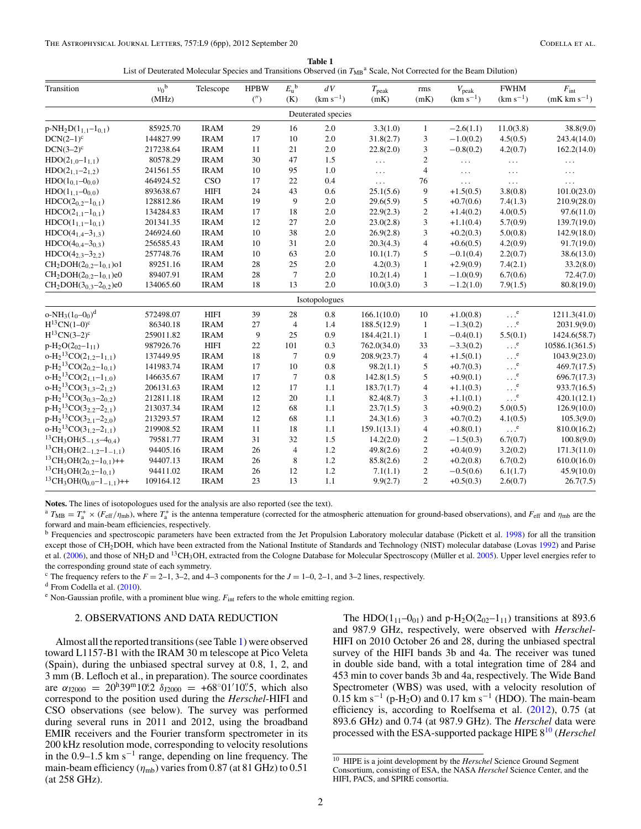| Table 1                                                                                                                           |  |
|-----------------------------------------------------------------------------------------------------------------------------------|--|
| List of Deuterated Molecular Species and Transitions Observed (in $T_{MB}^{\text{a}}$ Scale, Not Corrected for the Beam Dilution) |  |

<span id="page-1-0"></span>

| Transition                          | $v_0^{\ b}$<br>(MHz) | Telescope   | <b>HPBW</b><br>( | $E_{\rm u}^{\rm b}$<br>(K) | dV<br>$(km s^{-1})$ | $T_{\rm peak}$<br>(mK) | rms<br>(mK)             | $V_{\rm peak}$<br>$(km s^{-1})$ | <b>FWHM</b><br>$(km s^{-1})$ | $F_{\rm int}$<br>$(mK \text{ km s}^{-1})$ |
|-------------------------------------|----------------------|-------------|------------------|----------------------------|---------------------|------------------------|-------------------------|---------------------------------|------------------------------|-------------------------------------------|
|                                     |                      |             |                  |                            | Deuterated species  |                        |                         |                                 |                              |                                           |
| $p-NH_2D(1_{1,1}-1_{0,1})$          | 85925.70             | <b>IRAM</b> | 29               | 16                         | 2.0                 | 3.3(1.0)               | $\mathbf{1}$            | $-2.6(1.1)$                     | 11.0(3.8)                    | 38.8(9.0)                                 |
| $DCN(2-1)^c$                        | 144827.99            | <b>IRAM</b> | 17               | 10                         | 2.0                 | 31.8(2.7)              | 3                       | $-1.0(0.2)$                     | 4.5(0.5)                     | 243.4(14.0)                               |
| $DCN(3-2)^c$                        | 217238.64            | <b>IRAM</b> | 11               | 21                         | $2.0\,$             | 22.8(2.0)              | 3                       | $-0.8(0.2)$                     | 4.2(0.7)                     | 162.2(14.0)                               |
| $HDO(2_{1.0}-1_{1.1})$              | 80578.29             | <b>IRAM</b> | 30               | 47                         | 1.5                 | $\ldots$               | $\overline{c}$          | $\ddotsc$                       | $\ldots$                     | $\ldots$                                  |
| $HDO(2_{1.1}-2_{1.2})$              | 241561.55            | <b>IRAM</b> | 10               | 95                         | 1.0                 | $\ldots$               | $\overline{\mathbf{4}}$ | $\cdots$                        | $\cdots$                     | $\ldots$                                  |
| $HDO(1_{0,1}-0_{0,0})$              | 464924.52            | CSO         | 17               | 22                         | 0.4                 | $\cdots$               | 76                      | $\ldots$                        | $\ldots$                     |                                           |
| $HDO(1_{1.1}-0_{0.0})$              | 893638.67            | <b>HIFI</b> | 24               | 43                         | 0.6                 | 25.1(5.6)              | 9                       | $+1.5(0.5)$                     | 3.8(0.8)                     | 101.0(23.0)                               |
| $HDCO(2_{0,2}-1_{0,1})$             | 128812.86            | <b>IRAM</b> | 19               | 9                          | 2.0                 | 29.6(5.9)              | 5                       | $+0.7(0.6)$                     | 7.4(1.3)                     | 210.9(28.0)                               |
| $HDCO(2_{1,1}-1_{0,1})$             | 134284.83            | <b>IRAM</b> | 17               | 18                         | 2.0                 | 22.9(2.3)              | $\overline{c}$          | $+1.4(0.2)$                     | 4.0(0.5)                     | 97.6(11.0)                                |
| $HDCO(1_{1,1}-1_{0,1})$             | 201341.35            | <b>IRAM</b> | 12               | 27                         | 2.0                 | 23.0(2.8)              | 3                       | $+1.1(0.4)$                     | 5.7(0.9)                     | 139.7(19.0)                               |
| $HDCO(4_{1,4}-3_{1,3})$             | 246924.60            | <b>IRAM</b> | 10               | 38                         | 2.0                 | 26.9(2.8)              | 3                       | $+0.2(0.3)$                     | 5.0(0.8)                     | 142.9(18.0)                               |
| $HDCO(4_{0,4}-3_{0,3})$             | 256585.43            | <b>IRAM</b> | 10               | 31                         | 2.0                 | 20.3(4.3)              | $\overline{4}$          | $+0.6(0.5)$                     | 4.2(0.9)                     | 91.7(19.0)                                |
| $HDCO(4_{2,3}-3_{2,2})$             | 257748.76            | <b>IRAM</b> | 10               | 63                         | $2.0\,$             | 10.1(1.7)              | 5                       | $-0.1(0.4)$                     | 2.2(0.7)                     | 38.6(13.0)                                |
| $CH2DOH(20,2-10,1)$ o1              | 89251.16             | <b>IRAM</b> | 28               | 25                         | 2.0                 | 4.2(0.3)               | $\mathbf{1}$            | $+2.9(0.9)$                     | 7.4(2.1)                     | 33.2(8.0)                                 |
| $CH2DOH(20.2-10.1)e0$               | 89407.91             | <b>IRAM</b> | 28               | $\overline{7}$             | 2.0                 | 10.2(1.4)              | $\mathbf{1}$            | $-1.0(0.9)$                     | 6.7(0.6)                     | 72.4(7.0)                                 |
| $CH2DOH(30.3-20.2)e0$               | 134065.60            | <b>IRAM</b> | 18               | 13                         | 2.0                 | 10.0(3.0)              | 3                       | $-1.2(1.0)$                     | 7.9(1.5)                     | 80.8(19.0)                                |
|                                     |                      |             |                  |                            | Isotopologues       |                        |                         |                                 |                              |                                           |
| $o-NH_3(1_0-0_0)^d$                 | 572498.07            | <b>HIFI</b> | 39               | 28                         | 0.8                 | 166.1(10.0)            | 10                      | $+1.0(0.8)$                     | $\ldots$ . e                 | 1211.3(41.0)                              |
| $H^{13}CN(1-0)^{c}$                 | 86340.18             | <b>IRAM</b> | 27               | $\overline{4}$             | 1.4                 | 188.5(12.9)            | $\mathbf{1}$            | $-1.3(0.2)$                     | $\cdot \cdot$ .              | 2031.9(9.0)                               |
| $H^{13}CN(3-2)^c$                   | 259011.82            | <b>IRAM</b> | 9                | 25                         | 0.9                 | 184.4(21.1)            | -1                      | $-0.4(0.1)$                     | 5.5(0.1)                     | 1424.6(58.7)                              |
| $p-H_2O(2_{02}-1_{11})$             | 987926.76            | <b>HIFI</b> | 22               | 101                        | 0.3                 | 762.0(34.0)            | 33                      | $-3.3(0.2)$                     | <sup>e</sup>                 | 10586.1(361.5)                            |
| $o-H213CO(21,2-11,1)$               | 137449.95            | <b>IRAM</b> | 18               | $7\phantom{.0}$            | 0.9                 | 208.9(23.7)            | $\overline{4}$          | $+1.5(0.1)$                     | <sup>e</sup>                 | 1043.9(23.0)                              |
| $p-H213CO(20,2-10,1)$               | 141983.74            | <b>IRAM</b> | 17               | 10                         | 0.8                 | 98.2(1.1)              | 5                       | $+0.7(0.3)$                     | <sup>e</sup>                 | 469.7(17.5)                               |
| $o-H213CO(21,1-11,0)$               | 146635.67            | <b>IRAM</b> | 17               | $\tau$                     | 0.8                 | 142.8(1.5)             | 5                       | $+0.9(0.1)$                     | $\ldots^e$                   | 696.7(17.3)                               |
| $o-H213CO(31,3-21,2)$               | 206131.63            | <b>IRAM</b> | 12               | 17                         | 1.1                 | 183.7(1.7)             | $\overline{\mathbf{4}}$ | $+1.1(0.3)$                     | $\ldots$ <sup>e</sup>        | 933.7(16.5)                               |
| $p-H213CO(30,3-20,2)$               | 212811.18            | <b>IRAM</b> | 12               | 20                         | 1.1                 | 82.4(8.7)              | 3                       | $+1.1(0.1)$                     | $\cdot \cdot$ .              | 420.1(12.1)                               |
| $p-H213CO(32,2-22,1)$               | 213037.34            | <b>IRAM</b> | 12               | 68                         | 1.1                 | 23.7(1.5)              | 3                       | $+0.9(0.2)$                     | 5.0(0.5)                     | 126.9(10.0)                               |
| $p-H213CO(32,1-22,0)$               | 213293.57            | <b>IRAM</b> | 12               | 68                         | 1.1                 | 24.3(1.6)              | 3                       | $+0.7(0.2)$                     | 4.1(0.5)                     | 105.3(9.0)                                |
| $0-H213CO(31,2-21,1)$               | 219908.52            | <b>IRAM</b> | 11               | 18                         | 1.1                 | 159.1(13.1)            | $\overline{\mathbf{4}}$ | $+0.8(0.1)$                     | $\cdot \cdot$ .              | 810.0(16.2)                               |
| ${}^{13}CH_3OH(5_{-1,5}-4_{0,4})$   | 79581.77             | <b>IRAM</b> | 31               | 32                         | 1.5                 | 14.2(2.0)              | $\overline{c}$          | $-1.5(0.3)$                     | 6.7(0.7)                     | 100.8(9.0)                                |
| ${}^{13}CH_3OH(2_{-1,2}-1_{-1,1})$  | 94405.16             | <b>IRAM</b> | 26               | $\overline{4}$             | 1.2                 | 49.8(2.6)              | $\overline{c}$          | $+0.4(0.9)$                     | 3.2(0.2)                     | 171.3(11.0)                               |
| ${}^{13}CH_3OH(2_{0,2}-1_{0,1})++$  | 94407.13             | <b>IRAM</b> | 26               | $\,$ 8 $\,$                | 1.2                 | 85.8(2.6)              | $\overline{c}$          | $+0.2(0.8)$                     | 6.7(0.2)                     | 610.0(16.0)                               |
| ${}^{13}CH_3OH(2_{0,2}-1_{0,1})$    | 94411.02             | <b>IRAM</b> | 26               | 12                         | 1.2                 | 7.1(1.1)               | $\overline{c}$          | $-0.5(0.6)$                     | 6.1(1.7)                     | 45.9(10.0)                                |
| ${}^{13}CH_3OH(0_{0,0}-1_{-1,1})++$ | 109164.12            | <b>IRAM</b> | 23               | 13                         | 1.1                 | 9.9(2.7)               | $\overline{c}$          | $+0.5(0.3)$                     | 2.6(0.7)                     | 26.7(7.5)                                 |

**Notes.** The lines of isotopologues used for the analysis are also reported (see the text).

 $T_{\text{MB}} = T_{\text{a}}^* \times (F_{\text{eff}}/\eta_{\text{mb}})$ , where  $T_{\text{a}}^*$  is the antenna temperature (corrected for the atmospheric attenuation for ground-based observations), and  $F_{\text{eff}}$  and  $\eta_{\text{mb}}$  are the forward and main-beam efficiencies, respectively.

<sup>b</sup> Frequencies and spectroscopic parameters have been extracted from the Jet Propulsion Laboratory molecular database (Pickett et al. [1998\)](#page-5-0) for all the transition except those of CH<sub>2</sub>DOH, which have been extracted from the National Institute of Standards and Technology (NIST) molecular database (Lovas [1992\)](#page-5-0) and Parise et al. [\(2006\)](#page-5-0), and those of NH<sub>2</sub>D and <sup>13</sup>CH<sub>3</sub>OH, extracted from the Cologne Database for Molecular Spectroscopy (Müller et al. [2005\)](#page-5-0). Upper level energies refer to the corresponding ground state of each symmetry.

<sup>c</sup> The frequency refers to the  $F = 2-1$ , 3–2, and 4–3 components for the  $J = 1-0$ , 2–1, and 3–2 lines, respectively. <sup>d</sup> From Codella et al. [\(2010\)](#page-5-0).

<sup>e</sup> Non-Gaussian profile, with a prominent blue wing.  $F_{int}$  refers to the whole emitting region.

### 2. OBSERVATIONS AND DATA REDUCTION

Almost all the reported transitions (see Table 1) were observed toward L1157-B1 with the IRAM 30 m telescope at Pico Veleta (Spain), during the unbiased spectral survey at 0.8, 1, 2, and 3 mm (B. Lefloch et al., in preparation). The source coordinates are  $\alpha_{12000} = 20^{h}39^{m}10^{s}2 \delta_{12000} = +68°01'10''5$ , which also correspond to the position used during the *Herschel*-HIFI and CSO observations (see below). The survey was performed during several runs in 2011 and 2012, using the broadband EMIR receivers and the Fourier transform spectrometer in its 200 kHz resolution mode, corresponding to velocity resolutions in the  $0.9-1.5$  km s<sup> $-1$ </sup> range, depending on line frequency. The main-beam efficiency  $(\eta_{mb})$  varies from 0.87 (at 81 GHz) to 0.51 (at 258 GHz).

The HDO(1<sub>11</sub>–0<sub>01</sub>) and p-H<sub>2</sub>O(2<sub>02</sub>–1<sub>11</sub>) transitions at 893.6 and 987.9 GHz, respectively, were observed with *Herschel*-HIFI on 2010 October 26 and 28, during the unbiased spectral survey of the HIFI bands 3b and 4a. The receiver was tuned in double side band, with a total integration time of 284 and 453 min to cover bands 3b and 4a, respectively. The Wide Band Spectrometer (WBS) was used, with a velocity resolution of  $0.15$  km s<sup>-1</sup> (p-H<sub>2</sub>O) and 0.17 km s<sup>-1</sup> (HDO). The main-beam efficiency is, according to Roelfsema et al. [\(2012\)](#page-5-0), 0.75 (at 893.6 GHz) and 0.74 (at 987.9 GHz). The *Herschel* data were processed with the ESA-supported package HIPE 810 (*Herschel*

<sup>10</sup> HIPE is a joint development by the *Herschel* Science Ground Segment Consortium, consisting of ESA, the NASA *Herschel* Science Center, and the HIFI, PACS, and SPIRE consortia.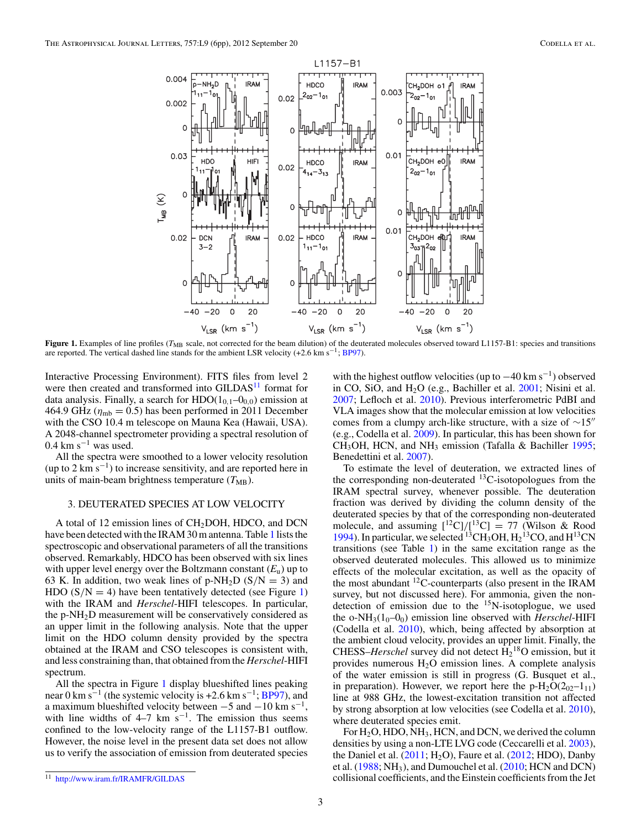

**Figure 1.** Examples of line profiles (*T*<sub>MB</sub> scale, not corrected for the beam dilution) of the deuterated molecules observed toward L1157-B1: species and transitions are reported. The vertical dashed line stands for the ambient LSR velocity (+2.6 km s−1; [BP97\)](#page-5-0).

Interactive Processing Environment). FITS files from level 2 were then created and transformed into GILDAS<sup>11</sup> format for data analysis. Finally, a search for  $HDO(1<sub>0.1</sub> - 0<sub>0.0</sub>)$  emission at 464.9 GHz ( $\eta_{\rm mb}$  = 0.5) has been performed in 2011 December with the CSO 10.4 m telescope on Mauna Kea (Hawaii, USA). A 2048-channel spectrometer providing a spectral resolution of  $0.4$  km s<sup>-1</sup> was used.

All the spectra were smoothed to a lower velocity resolution (up to 2 km s<sup> $-1$ </sup>) to increase sensitivity, and are reported here in units of main-beam brightness temperature  $(T_{MB})$ .

### 3. DEUTERATED SPECIES AT LOW VELOCITY

A total of 12 emission lines of  $CH<sub>2</sub>DOH$ , HDCO, and DCN have been detected with the IRAM 30 m antenna. Table [1](#page-1-0) lists the spectroscopic and observational parameters of all the transitions observed. Remarkably, HDCO has been observed with six lines with upper level energy over the Boltzmann constant  $(E_u)$  up to 63 K. In addition, two weak lines of  $p-NH_2D(S/N = 3)$  and HDO  $(S/N = 4)$  have been tentatively detected (see Figure 1) with the IRAM and *Herschel*-HIFI telescopes. In particular, the p-NH2D measurement will be conservatively considered as an upper limit in the following analysis. Note that the upper limit on the HDO column density provided by the spectra obtained at the IRAM and CSO telescopes is consistent with, and less constraining than, that obtained from the *Herschel*-HIFI spectrum.

All the spectra in Figure 1 display blueshifted lines peaking near 0 km s<sup>-1</sup> (the systemic velocity is +2.6 km s<sup>-1</sup>; [BP97\)](#page-5-0), and a maximum blueshifted velocity between  $-5$  and  $-10$  km s<sup>-1</sup>, with line widths of 4–7 km s<sup>-1</sup>. The emission thus seems confined to the low-velocity range of the L1157-B1 outflow. However, the noise level in the present data set does not allow us to verify the association of emission from deuterated species with the highest outflow velocities (up to  $-40 \text{ km s}^{-1}$ ) observed in CO, SiO, and  $H<sub>2</sub>O$  (e.g., Bachiller et al.  $2001$ ; Nisini et al. [2007;](#page-5-0) Lefloch et al. [2010\)](#page-5-0). Previous interferometric PdBI and VLA images show that the molecular emission at low velocities comes from a clumpy arch-like structure, with a size of  $\sim 15$ " (e.g., Codella et al. [2009\)](#page-5-0). In particular, this has been shown for  $CH<sub>3</sub>OH$ , HCN, and NH<sub>3</sub> emission (Tafalla & Bachiller [1995;](#page-5-0) Benedettini et al. [2007\)](#page-5-0).

To estimate the level of deuteration, we extracted lines of the corresponding non-deuterated  $^{13}$ C-isotopologues from the IRAM spectral survey, whenever possible. The deuteration fraction was derived by dividing the column density of the deuterated species by that of the corresponding non-deuterated molecule, and assuming  $\frac{[^{12}C]/[^{13}C]}{^{13}C} = 77$  (Wilson & Rood [1994\)](#page-5-0). In particular, we selected <sup>13</sup>CH<sub>3</sub>OH,  $H_2$ <sup>13</sup>CO, and  $H$ <sup>13</sup>CN transitions (see Table [1\)](#page-1-0) in the same excitation range as the observed deuterated molecules. This allowed us to minimize effects of the molecular excitation, as well as the opacity of the most abundant  ${}^{12}$ C-counterparts (also present in the IRAM survey, but not discussed here). For ammonia, given the nondetection of emission due to the  $^{15}$ N-isotoplogue, we used the o-NH<sub>3</sub>( $1_0$ – $0_0$ ) emission line observed with *Herschel*-HIFI (Codella et al. [2010\)](#page-5-0), which, being affected by absorption at the ambient cloud velocity, provides an upper limit. Finally, the CHESS–*Herschel* survey did not detect  $\overline{H_2}^{18}O$  emission, but it provides numerous H2O emission lines. A complete analysis of the water emission is still in progress (G. Busquet et al., in preparation). However, we report here the  $p-H_2O(2_{02}-1_{11})$ line at 988 GHz, the lowest-excitation transition not affected by strong absorption at low velocities (see Codella et al. [2010\)](#page-5-0), where deuterated species emit.

For  $H_2O$ , HDO, NH<sub>3</sub>, HCN, and DCN, we derived the column densities by using a non-LTE LVG code (Ceccarelli et al. [2003\)](#page-5-0), the Daniel et al.  $(2011; H<sub>2</sub>O)$  $(2011; H<sub>2</sub>O)$ , Faure et al.  $(2012; HDO)$  $(2012; HDO)$ , Danby et al.  $(1988; NH<sub>3</sub>)$  $(1988; NH<sub>3</sub>)$ , and Dumouchel et al.  $(2010; HCN$  $(2010; HCN$  and DCN) collisional coefficients, and the Einstein coefficients from the Jet

<sup>11</sup> <http://www.iram.fr/IRAMFR/GILDAS>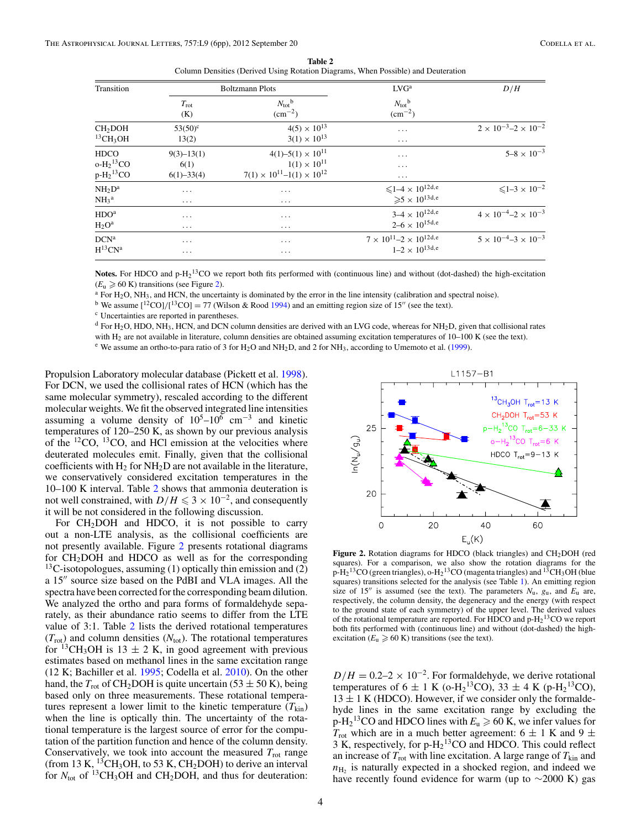<span id="page-3-0"></span>

|                              |                      | Column Densities (Derived Using Rotation Diagrams, When Possible) and Deuteration |                                                 |                                       |  |
|------------------------------|----------------------|-----------------------------------------------------------------------------------|-------------------------------------------------|---------------------------------------|--|
| Transition                   |                      | <b>Boltzmann Plots</b>                                                            | LVG <sup>a</sup>                                | D/H                                   |  |
|                              | $T_{\rm rot}$<br>(K) | $N_{\rm tot}$ <sup>b</sup><br>$\rm (cm^{-2})$                                     | $N_{\text{tot}}^{\text{b}}$<br>$\rm (cm^{-2})$  |                                       |  |
| CH <sub>2</sub> DOH          | $53(50)^c$           | $4(5) \times 10^{13}$                                                             | .                                               | $2 \times 10^{-3} - 2 \times 10^{-2}$ |  |
| $^{13}$ CH <sub>3</sub> OH   | 13(2)                | $3(1) \times 10^{13}$                                                             | $\cdots$                                        |                                       |  |
| HDCO                         | $9(3)-13(1)$         | $4(1) - 5(1) \times 10^{11}$                                                      | .                                               | $5 - 8 \times 10^{-3}$                |  |
| о-Н2 <sup>13</sup> СО        | 6(1)                 | $1(1) \times 10^{11}$                                                             | .                                               |                                       |  |
| $p-H213CO$                   | $6(1) - 33(4)$       | $7(1) \times 10^{11} - 1(1) \times 10^{12}$                                       | $\cdots$                                        |                                       |  |
| $NH_2D^a$                    | $\cdots$             | $\cdots$                                                                          | ${\leqslant}1\text{--}4\times10^{12}\text{d,e}$ | $\leq 1 - 3 \times 10^{-2}$           |  |
| NH <sub>3</sub> <sup>a</sup> | $\cdots$             | $\cdots$                                                                          | $\geqslant 5 \times 10^{13d,e}$                 |                                       |  |
| $\rm{HDO}^{a}$               | $\cdots$             | $\cdots$                                                                          | $3-4 \times 10^{12d,e}$                         | $4 \times 10^{-4} - 2 \times 10^{-3}$ |  |
| $H_2O^a$                     | $\cdots$             | $\cdots$                                                                          | $2 - 6 \times 10^{15}$ d,e                      |                                       |  |
| $DCN^a$                      | $\cdots$             | $\cdots$                                                                          | $7 \times 10^{11} - 2 \times 10^{12}$ d,e       | $5 \times 10^{-4} - 3 \times 10^{-3}$ |  |
| $\rm H^{13}CN^a$             | $\cdots$             | .                                                                                 | $1-2 \times 10^{13}$ d,e                        |                                       |  |
|                              |                      |                                                                                   |                                                 |                                       |  |

**Table 2** Column Densities (Derived Using Rotation Diagrams, When Possible) and Deuteration

**Notes.** For HDCO and  $p-H_2$ <sup>13</sup>CO we report both fits performed with (continuous line) and without (dot-dashed) the high-excitation

 $(E_u \ge 60 \text{ K})$  transitions (see Figure 2).<br><sup>a</sup> For H<sub>2</sub>O, NH<sub>3</sub>, and HCN, the uncertainty is dominated by the error in the line intensity (calibration and spectral noise).<br><sup>b</sup> We assume [<sup>12</sup>CO]/[<sup>13</sup>CO] = 77 (Wilson & Ro

<sup>b</sup> We assume  $\binom{12}{C}$  ( $\binom{13}{C}$ ) = 77 (Wilson & Rood [1994\)](#page-5-0) and an emitting region size of 15<sup>*n*</sup> (see the text).

 $d$  For H<sub>2</sub>O, HDO, NH<sub>3</sub>, HCN, and DCN column densities are derived with an LVG code, whereas for NH<sub>2</sub>D, given that collisional rates with H<sub>2</sub> are not available in literature, column densities are obtained assuming excitation temperatures of 10–100 K (see the text).<br><sup>e</sup> We assume an ortho-to-para ratio of 3 for H<sub>2</sub>O and NH<sub>2</sub>D, and 2 for NH<sub>3</sub>, accord

Propulsion Laboratory molecular database (Pickett et al. [1998\)](#page-5-0). For DCN, we used the collisional rates of HCN (which has the same molecular symmetry), rescaled according to the different molecular weights. We fit the observed integrated line intensities assuming a volume density of  $10^5$ – $10^6$  cm<sup>-3</sup> and kinetic temperatures of 120–250 K, as shown by our previous analysis of the 12CO, 13CO, and HCl emission at the velocities where deuterated molecules emit. Finally, given that the collisional coefficients with  $H_2$  for  $NH_2D$  are not available in the literature, we conservatively considered excitation temperatures in the 10–100 K interval. Table 2 shows that ammonia deuteration is not well constrained, with  $D/H \leq 3 \times 10^{-2}$ , and consequently it will be not considered in the following discussion.

For  $CH<sub>2</sub>DOH$  and HDCO, it is not possible to carry out a non-LTE analysis, as the collisional coefficients are not presently available. Figure 2 presents rotational diagrams for CH2DOH and HDCO as well as for the corresponding  $13C$ -isotopologues, assuming (1) optically thin emission and (2) a 15" source size based on the PdBI and VLA images. All the spectra have been corrected for the corresponding beam dilution. We analyzed the ortho and para forms of formaldehyde separately, as their abundance ratio seems to differ from the LTE value of 3:1. Table 2 lists the derived rotational temperatures  $(T_{\text{rot}})$  and column densities  $(N_{\text{tot}})$ . The rotational temperatures for <sup>13</sup>CH<sub>3</sub>OH is 13  $\pm$  2 K, in good agreement with previous estimates based on methanol lines in the same excitation range (12 K; Bachiller et al. [1995;](#page-5-0) Codella et al. [2010\)](#page-5-0). On the other hand, the  $T_{\text{rot}}$  of CH<sub>2</sub>DOH is quite uncertain (53  $\pm$  50 K), being based only on three measurements. These rotational temperatures represent a lower limit to the kinetic temperature  $(T_{kin})$ when the line is optically thin. The uncertainty of the rotational temperature is the largest source of error for the computation of the partition function and hence of the column density. Conservatively, we took into account the measured  $T_{\text{rot}}$  range (from 13 K, <sup>13</sup>CH<sub>3</sub>OH, to 53 K, CH<sub>2</sub>DOH) to derive an interval for  $N_{\text{tot}}$  of <sup>13</sup>CH<sub>3</sub>OH and CH<sub>2</sub>DOH, and thus for deuteration:



Figure 2. Rotation diagrams for HDCO (black triangles) and CH<sub>2</sub>DOH (red squares). For a comparison, we also show the rotation diagrams for the  $p$ -H<sub>2</sub><sup>13</sup>CO (green triangles), o-H<sub>2</sub><sup>13</sup>CO (magenta triangles) and <sup>13</sup>CH<sub>3</sub>OH (blue squares) transitions selected for the analysis (see Table [1\)](#page-1-0). An emitting region size of 15" is assumed (see the text). The parameters  $N_u$ ,  $g_u$ , and  $E_u$  are, respectively, the column density, the degeneracy and the energy (with respect to the ground state of each symmetry) of the upper level. The derived values of the rotational temperature are reported. For HDCO and  $p$ -H<sub>2</sub><sup>13</sup>CO we report both fits performed with (continuous line) and without (dot-dashed) the highexcitation  $(E_u \geq 60 \text{ K})$  transitions (see the text).

 $D/H = 0.2-2 \times 10^{-2}$ . For formaldehyde, we derive rotational temperatures of  $6 \pm 1$  K (o-H<sub>2</sub><sup>13</sup>CO), 33  $\pm 4$  K (p-H<sub>2</sub><sup>13</sup>CO),  $13 \pm 1$  K (HDCO). However, if we consider only the formal dehyde lines in the same excitation range by excluding the  $p-H_2$ <sup>13</sup>CO and HDCO lines with  $E_u \ge 60$  K, we infer values for  $T_{\text{rot}}$  which are in a much better agreement: 6  $\pm$  1 K and 9  $\pm$ 3 K, respectively, for  $p-H<sub>2</sub><sup>13</sup>CO$  and HDCO. This could reflect an increase of  $T_{\text{rot}}$  with line excitation. A large range of  $T_{\text{kin}}$  and  $n_{\text{H}_2}$  is naturally expected in a shocked region, and indeed we have recently found evidence for warm (up to  $\sim$ 2000 K) gas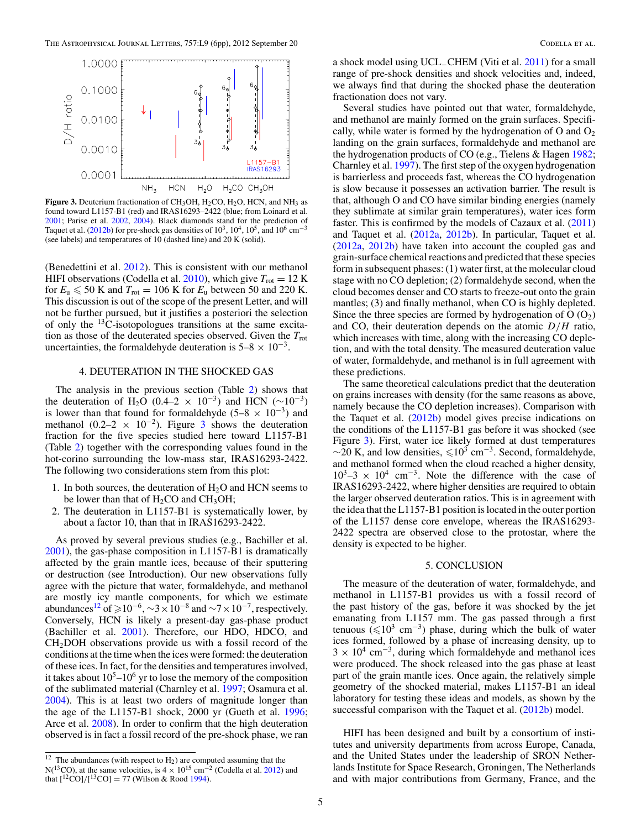

Figure 3. Deuterium fractionation of CH<sub>3</sub>OH, H<sub>2</sub>CO, H<sub>2</sub>O, HCN, and NH<sub>3</sub> as found toward L1157-B1 (red) and IRAS16293–2422 (blue; from Loinard et al. [2001;](#page-5-0) Parise et al. [2002,](#page-5-0) [2004\)](#page-5-0). Black diamonds stand for the prediction of Taquet et al. [\(2012b\)](#page-5-0) for pre-shock gas densities of  $10^3$ ,  $10^4$ ,  $10^5$ , and  $10^6$  cm<sup>-3</sup> (see labels) and temperatures of 10 (dashed line) and 20 K (solid).

(Benedettini et al. [2012\)](#page-5-0). This is consistent with our methanol HIFI observations (Codella et al.  $2010$ ), which give  $T_{\text{rot}} = 12 \text{ K}$ for  $E_u \le 50$  K and  $T_{\text{rot}} = 106$  K for  $E_u$  between 50 and 220 K. This discussion is out of the scope of the present Letter, and will not be further pursued, but it justifies a posteriori the selection of only the  $^{13}$ C-isotopologues transitions at the same excitation as those of the deuterated species observed. Given the  $T_{\text{rot}}$ uncertainties, the formaldehyde deuteration is  $5-8 \times 10^{-3}$ .

# 4. DEUTERATION IN THE SHOCKED GAS

The analysis in the previous section (Table [2\)](#page-3-0) shows that the deuteration of H<sub>2</sub>O (0.4–2 × 10<sup>-3</sup>) and HCN ( $\sim$ 10<sup>-3</sup>) is lower than that found for formaldehyde (5–8  $\times$  10<sup>-3</sup>) and methanol (0.2–2  $\times$  10<sup>-2</sup>). Figure 3 shows the deuteration fraction for the five species studied here toward L1157-B1 (Table [2\)](#page-3-0) together with the corresponding values found in the hot-corino surrounding the low-mass star, IRAS16293-2422. The following two considerations stem from this plot:

- 1. In both sources, the deuteration of  $H_2O$  and HCN seems to be lower than that of  $H_2CO$  and  $CH_3OH$ ;
- 2. The deuteration in L1157-B1 is systematically lower, by about a factor 10, than that in IRAS16293-2422.

As proved by several previous studies (e.g., Bachiller et al. [2001\)](#page-5-0), the gas-phase composition in L1157-B1 is dramatically affected by the grain mantle ices, because of their sputtering or destruction (see Introduction). Our new observations fully agree with the picture that water, formaldehyde, and methanol are mostly icy mantle components, for which we estimate abundances<sup>12</sup> of  $\ge 10^{-6}$ ,  $\sim$ 3 × 10<sup>-8</sup> and  $\sim$ 7 × 10<sup>-7</sup>, respectively. Conversely, HCN is likely a present-day gas-phase product (Bachiller et al. [2001\)](#page-5-0). Therefore, our HDO, HDCO, and CH2DOH observations provide us with a fossil record of the conditions at the time when the ices were formed: the deuteration of these ices. In fact, for the densities and temperatures involved, it takes about  $10^5$ – $10^6$  yr to lose the memory of the composition of the sublimated material (Charnley et al. [1997;](#page-5-0) Osamura et al. [2004\)](#page-5-0). This is at least two orders of magnitude longer than the age of the L1157-B1 shock, 2000 yr (Gueth et al. [1996;](#page-5-0) Arce et al. [2008\)](#page-5-0). In order to confirm that the high deuteration observed is in fact a fossil record of the pre-shock phase, we ran

a shock model using UCL−CHEM (Viti et al. [2011\)](#page-5-0) for a small range of pre-shock densities and shock velocities and, indeed, we always find that during the shocked phase the deuteration fractionation does not vary.

Several studies have pointed out that water, formaldehyde, and methanol are mainly formed on the grain surfaces. Specifically, while water is formed by the hydrogenation of O and  $O_2$ landing on the grain surfaces, formaldehyde and methanol are the hydrogenation products of CO (e.g., Tielens & Hagen [1982;](#page-5-0) Charnley et al. [1997\)](#page-5-0). The first step of the oxygen hydrogenation is barrierless and proceeds fast, whereas the CO hydrogenation is slow because it possesses an activation barrier. The result is that, although O and CO have similar binding energies (namely they sublimate at similar grain temperatures), water ices form faster. This is confirmed by the models of Cazaux et al. [\(2011\)](#page-5-0) and Taquet et al. [\(2012a,](#page-5-0) [2012b\)](#page-5-0). In particular, Taquet et al. [\(2012a,](#page-5-0) [2012b\)](#page-5-0) have taken into account the coupled gas and grain-surface chemical reactions and predicted that these species form in subsequent phases: (1) water first, at the molecular cloud stage with no CO depletion; (2) formaldehyde second, when the cloud becomes denser and CO starts to freeze-out onto the grain mantles; (3) and finally methanol, when CO is highly depleted. Since the three species are formed by hydrogenation of  $O(O<sub>2</sub>)$ and CO, their deuteration depends on the atomic *D/H* ratio, which increases with time, along with the increasing CO depletion, and with the total density. The measured deuteration value of water, formaldehyde, and methanol is in full agreement with these predictions.

The same theoretical calculations predict that the deuteration on grains increases with density (for the same reasons as above, namely because the CO depletion increases). Comparison with the Taquet et al. [\(2012b\)](#page-5-0) model gives precise indications on the conditions of the L1157-B1 gas before it was shocked (see Figure 3). First, water ice likely formed at dust temperatures  $\sim$ 20 K, and low densities,  $\leq 10^3$  cm<sup>-3</sup>. Second, formaldehyde, and methanol formed when the cloud reached a higher density,  $10^3$ –3 ×  $10^4$  cm<sup>-3</sup>. Note the difference with the case of IRAS16293-2422, where higher densities are required to obtain the larger observed deuteration ratios. This is in agreement with the idea that the L1157-B1 position is located in the outer portion of the L1157 dense core envelope, whereas the IRAS16293- 2422 spectra are observed close to the protostar, where the density is expected to be higher.

### 5. CONCLUSION

The measure of the deuteration of water, formaldehyde, and methanol in L1157-B1 provides us with a fossil record of the past history of the gas, before it was shocked by the jet emanating from L1157 mm. The gas passed through a first tenuous ( $\leq 10^3$  cm<sup>-3</sup>) phase, during which the bulk of water ices formed, followed by a phase of increasing density, up to  $3 \times 10^4$  cm<sup>-3</sup>, during which formaldehyde and methanol ices were produced. The shock released into the gas phase at least part of the grain mantle ices. Once again, the relatively simple geometry of the shocked material, makes L1157-B1 an ideal laboratory for testing these ideas and models, as shown by the successful comparison with the Taquet et al. [\(2012b\)](#page-5-0) model.

HIFI has been designed and built by a consortium of institutes and university departments from across Europe, Canada, and the United States under the leadership of SRON Netherlands Institute for Space Research, Groningen, The Netherlands and with major contributions from Germany, France, and the

 $12$  The abundances (with respect to  $H_2$ ) are computed assuming that the N(<sup>13</sup>CO), at the same velocities, is  $4 \times 10^{15}$  cm<sup>-2</sup> (Codella et al. [2012\)](#page-5-0) and that  $\left[ {}^{12}CO \right]/[{}^{13}CO] = 77$  (Wilson & Rood [1994\)](#page-5-0).